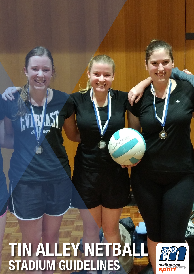# 1 **TIN ALLEY NETBALL STADIUM GUIDELINES**

1910

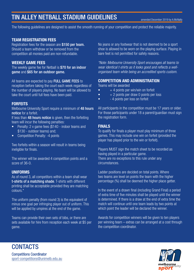# TIN ALLEY NETBALL STADIUM GUIDELINES

The following guidelines are designed to assist the smooth running of your competition and protect the reliable majority.

#### TEAM REGISTRATION FEES

Registration fees for the season are \$150 per team. Should a team withdraw or be removed from the competition all monies paid are non-refundable.

### WEEKLY GAME FEES

The weekly game fee for Netball is \$70 for an indoor game and \$65 for an outdoor game.

All teams are expected to pay FULL GAME FEES to reception before taking the court each week regardless of the number of players playing. No team will be allowed to take the court until full fees have been paid.

### FORFEITS

Melbourne University Sport require a minimum of 48 hours notice for a forfeit.

If less than 48 hours notice is given, then the forfeiting team will incur the following penalties:

- Penalty: 2 x game fees (\$140 indoor teams and \$130 - outdoor teams) and;
- Competition Penalty: -4 points

Two forfeits within a season will result in teams being ineligible for finals.

The winner will be awarded 4 competition points and a score of 36-0.

#### UNIFORMS

As of round 3, all competitors within a team shall wear t-shirts of a matching shade. T-shirts with different printing shall be acceptable provided they are matching colours.\*

The uniform penalty (from round 3) is the equivalent of minus one goal per infringing player out of uniform. This will be applied by umpires at the end of the game.

Teams can provide their own sets of bibs, or there are sets available for hire from reception each week at \$5 per game.

No jeans or any footwear that is not deemed to be a sport shoe is allowed to be worn on the playing surface. Playing in bare feet is not permitted for safety reasons.

*\*Note: Melbourne University Sport encourages all teams to wear identical t-shirts as it looks good and reflects a wellorganised team while being an accredited sports custom.*

#### COMPETITION AND ADMINISTRATION

Teams will be awarded

- $\bullet$  + 4 points per win/win on forfeit
- $\bullet$  + 2 points per draw 0 points per loss
- **4 points per loss on forfeit**

All participants in the competition must be 17 years or older. For those participants under 18 a parent/guardian must sign the registration form.

### FINALS

To qualify for finals a player must play minimum of three games. This may include one win on forfeit (provided the player has played prior to the win or forfeit).

Players MUST sign the match sheet to be recorded as having played in a particular game. There are no exceptions to this rule under any circumstances.

Ladder positions are decided on total points. Where two teams are level on points the team with the higher percentage (%) shall be deemed the higher place getter.

In the event of a drawn final (including Grand Final) a period of extra time of five minutes shall be played until the winner is determined. If there is a draw at the end of extra time the match will continue until one team leads by two points at which point the leader will be declared the winner.

Awards for competition winners will be given to ten players per winning team – extras can be arranged at a cost through the competition coordinator.



**CONTACTS** Competitions Coordinator sport-competitions@unimelb.edu.au